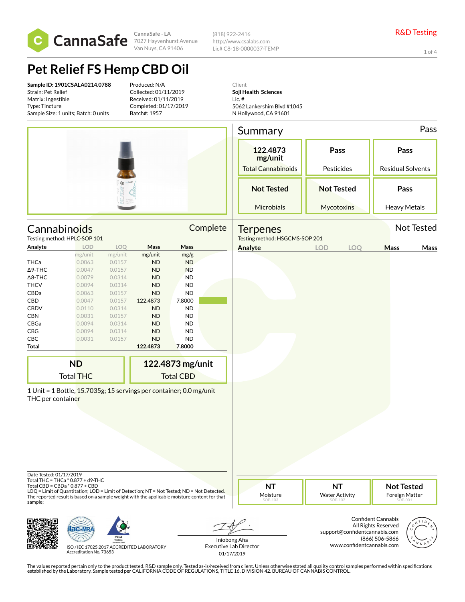

(818) 922-2416 http://www.csalabs.com Lic# C8-18-0000037-TEMP

1 of 4

# **Pet Relief FS Hemp CBD Oil**

**Sample ID: 1901CSALA0214.0788** Strain: Pet Relief Matrix: Ingestible Type: Tincture Sample Size: 1 units; Batch: 0 units

Produced: N/A Collected: 01/11/2019 Received: 01/11/2019 Completed: 01/17/2019 Batch#: 1957

Client **Soji Health Sciences** Lic. # 5062 Lankershim Blvd #1045 N Hollywood, CA 91601

|                                              |                                                                                                                                                                                             |                  |                        |                  |          | Summary                                          |                                  |                                                                            | Pass |
|----------------------------------------------|---------------------------------------------------------------------------------------------------------------------------------------------------------------------------------------------|------------------|------------------------|------------------|----------|--------------------------------------------------|----------------------------------|----------------------------------------------------------------------------|------|
|                                              |                                                                                                                                                                                             |                  |                        |                  |          | 122.4873<br>mg/unit<br><b>Total Cannabinoids</b> | Pass<br>Pesticides               | Pass<br>Residual Solvents                                                  |      |
|                                              |                                                                                                                                                                                             |                  |                        |                  |          | <b>Not Tested</b>                                | <b>Not Tested</b>                | Pass                                                                       |      |
|                                              |                                                                                                                                                                                             |                  |                        |                  |          | Microbials                                       | Mycotoxins                       | <b>Heavy Metals</b>                                                        |      |
|                                              | Cannabinoids                                                                                                                                                                                |                  |                        |                  | Complete | <b>Terpenes</b>                                  |                                  | Not Tested                                                                 |      |
|                                              | Testing method: HPLC-SOP 101                                                                                                                                                                |                  |                        |                  |          | Testing method: HSGCMS-SOP 201                   |                                  |                                                                            |      |
| Analyte                                      | <b>LOD</b>                                                                                                                                                                                  | LOQ              | Mass                   | Mass             |          | Analyte                                          | <b>LOD</b><br>LOQ                | Mass                                                                       | Mass |
|                                              | mg/unit                                                                                                                                                                                     | mg/unit          | mg/unit                | mg/g             |          |                                                  |                                  |                                                                            |      |
| THCa                                         | 0.0063<br>0.0047                                                                                                                                                                            | 0.0157<br>0.0157 | <b>ND</b>              | <b>ND</b>        |          |                                                  |                                  |                                                                            |      |
| ∆9-THC<br>$\Delta$ 8-THC                     | 0.0079                                                                                                                                                                                      | 0.0314           | <b>ND</b><br><b>ND</b> | <b>ND</b><br>ND  |          |                                                  |                                  |                                                                            |      |
| <b>THCV</b>                                  | 0.0094                                                                                                                                                                                      | 0.0314           | <b>ND</b>              | ND               |          |                                                  |                                  |                                                                            |      |
| CBDa                                         | 0.0063                                                                                                                                                                                      | 0.0157           | <b>ND</b>              | ND               |          |                                                  |                                  |                                                                            |      |
| CBD                                          | 0.0047                                                                                                                                                                                      | 0.0157           | 122.4873               | 7.8000           |          |                                                  |                                  |                                                                            |      |
| <b>CBDV</b>                                  | 0.0110                                                                                                                                                                                      | 0.0314           | <b>ND</b>              | <b>ND</b>        |          |                                                  |                                  |                                                                            |      |
| <b>CBN</b>                                   | 0.0031                                                                                                                                                                                      | 0.0157           | <b>ND</b>              | ND               |          |                                                  |                                  |                                                                            |      |
| CBGa                                         | 0.0094                                                                                                                                                                                      | 0.0314           | <b>ND</b>              | ND               |          |                                                  |                                  |                                                                            |      |
| CBG                                          | 0.0094                                                                                                                                                                                      | 0.0314           | <b>ND</b>              | ND               |          |                                                  |                                  |                                                                            |      |
| CBC                                          | 0.0031                                                                                                                                                                                      | 0.0157           | ND                     | <b>ND</b>        |          |                                                  |                                  |                                                                            |      |
| Total                                        |                                                                                                                                                                                             |                  | 122.4873               | 7.8000           |          |                                                  |                                  |                                                                            |      |
|                                              | <b>ND</b>                                                                                                                                                                                   |                  |                        | 122.4873 mg/unit |          |                                                  |                                  |                                                                            |      |
|                                              | <b>Total THC</b>                                                                                                                                                                            |                  |                        | <b>Total CBD</b> |          |                                                  |                                  |                                                                            |      |
| THC per container<br>Date Tested: 01/17/2019 | 1 Unit = 1 Bottle, 15.7035g; 15 servings per container; 0.0 mg/unit<br>Total THC = THCa * 0.877 + d9-THC<br>Total CBD = CBDa * 0.877 + CBD                                                  |                  |                        |                  |          | <b>NT</b>                                        | <b>NT</b>                        | <b>Not Tested</b>                                                          |      |
| sample;                                      | LOQ = Limit of Quantitation; LOD = Limit of Detection; NT = Not Tested; ND = Not Detected.<br>The reported result is based on a sample weight with the applicable moisture content for that |                  |                        |                  |          | Moisture<br>SOP-103                              | <b>Water Activity</b><br>SOP-102 | Foreign Matter<br>.00.<br><b>Confident Cannabis</b><br>All Rights Reserved |      |
|                                              |                                                                                                                                                                                             | <b>PJLA</b>      |                        |                  |          | Iniobong Afia                                    | support@confidentcannabis.com    | (866) 506-5866                                                             |      |



www.confidentcannabis.com

ISO / IEC 17025:2017 ACCREDITED LABORATORY Accreditation No. 73653

Iniobong Afia Executive Lab Director 01/17/2019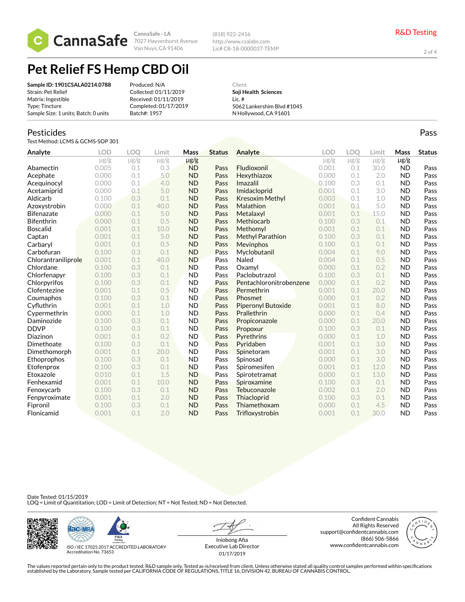

(818) 922-2416 http://www.csalabs.com Lic# C8-18-0000037-TEMP

2 of 4

Pass

## **Pet Relief FS Hemp CBD Oil**

| Produced: N/A         |
|-----------------------|
| Collected: 01/11/2019 |
| Received: 01/11/2019  |
| Completed: 01/17/2019 |
| Batch#: 1957          |
|                       |

Client **Soji Health Sciences** Lic. # 5062 Lankershim Blvd #1045 N Hollywood, CA 91601

#### Pesticides

Test Method: LCMS & GCMS-SOP 301

| Analyte             | <b>LOD</b> | <b>LOO</b> | Limit     | <b>Mass</b> | <b>Status</b> | Analyte                   | <b>LOD</b> | LOO       | Limit     | Mass      | <b>Status</b> |
|---------------------|------------|------------|-----------|-------------|---------------|---------------------------|------------|-----------|-----------|-----------|---------------|
|                     | $\mu$ g/g  | $\mu$ g/g  | $\mu$ g/g | $\mu$ g/g   |               |                           | $\mu$ g/g  | $\mu$ g/g | $\mu$ g/g | $\mu$ g/g |               |
| Abamectin           | 0.005      | 0.1        | 0.3       | <b>ND</b>   | Pass          | Fludioxonil               | 0.001      | 0.1       | 30.0      | <b>ND</b> | Pass          |
| Acephate            | 0.000      | 0.1        | 5.0       | <b>ND</b>   | Pass          | Hexythiazox               | 0.000      | 0.1       | 2.0       | <b>ND</b> | Pass          |
| Acequinocyl         | 0.000      | 0.1        | 4.0       | <b>ND</b>   | Pass          | Imazalil                  | 0.100      | 0.3       | 0.1       | <b>ND</b> | Pass          |
| Acetamiprid         | 0.000      | 0.1        | 5.0       | <b>ND</b>   | Pass          | Imidacloprid              | 0.001      | 0.1       | 3.0       | <b>ND</b> | Pass          |
| Aldicarb            | 0.100      | 0.3        | 0.1       | <b>ND</b>   | Pass          | Kresoxim Methyl           | 0.003      | 0.1       | 1.0       | <b>ND</b> | Pass          |
| Azoxystrobin        | 0.000      | 0.1        | 40.0      | <b>ND</b>   | Pass          | Malathion                 | 0.001      | 0.1       | 5.0       | <b>ND</b> | Pass          |
| <b>Bifenazate</b>   | 0.000      | 0.1        | 5.0       | <b>ND</b>   | Pass          | Metalaxyl                 | 0.001      | 0.1       | 15.0      | <b>ND</b> | Pass          |
| <b>Bifenthrin</b>   | 0.000      | 0.1        | 0.5       | <b>ND</b>   | Pass          | Methiocarb                | 0.100      | 0.3       | 0.1       | <b>ND</b> | Pass          |
| <b>Boscalid</b>     | 0.001      | 0.1        | 10.0      | <b>ND</b>   | Pass          | Methomyl                  | 0.001      | 0.1       | 0.1       | <b>ND</b> | Pass          |
| Captan              | 0.001      | 0.1        | 5.0       | <b>ND</b>   | Pass          | <b>Methyl Parathion</b>   | 0.100      | 0.3       | 0.1       | <b>ND</b> | Pass          |
| Carbaryl            | 0.001      | 0.1        | 0.5       | <b>ND</b>   | Pass          | Mevinphos                 | 0.100      | 0.1       | 0.1       | <b>ND</b> | Pass          |
| Carbofuran          | 0.100      | 0.3        | 0.1       | <b>ND</b>   | Pass          | Myclobutanil              | 0.004      | 0.1       | 9.0       | <b>ND</b> | Pass          |
| Chlorantraniliprole | 0.001      | 0.1        | 40.0      | <b>ND</b>   | Pass          | Naled                     | 0.004      | 0.1       | 0.5       | <b>ND</b> | Pass          |
| Chlordane           | 0.100      | 0.3        | 0.1       | <b>ND</b>   | Pass          | Oxamyl                    | 0.000      | 0.1       | 0.2       | <b>ND</b> | Pass          |
| Chlorfenapyr        | 0.100      | 0.3        | 0.1       | <b>ND</b>   | Pass          | Paclobutrazol             | 0.100      | 0.3       | 0.1       | <b>ND</b> | Pass          |
| Chlorpyrifos        | 0.100      | 0.3        | 0.1       | <b>ND</b>   | Pass          | Pentachloronitrobenzene   | 0.000      | 0.1       | 0.2       | <b>ND</b> | Pass          |
| Clofentezine        | 0.001      | 0.1        | 0.5       | <b>ND</b>   | Pass          | Permethrin                | 0.001      | 0.1       | 20.0      | <b>ND</b> | Pass          |
| Coumaphos           | 0.100      | 0.3        | 0.1       | <b>ND</b>   | Pass          | Phosmet                   | 0.000      | 0.1       | 0.2       | <b>ND</b> | Pass          |
| Cyfluthrin          | 0.001      | 0.1        | 1.0       | <b>ND</b>   | Pass          | <b>Piperonyl Butoxide</b> | 0.001      | 0.1       | 8.0       | <b>ND</b> | Pass          |
| Cypermethrin        | 0.000      | 0.1        | 1.0       | <b>ND</b>   | Pass          | Prallethrin               | 0.000      | 0.1       | 0.4       | <b>ND</b> | Pass          |
| Daminozide          | 0.100      | 0.3        | 0.1       | <b>ND</b>   | Pass          | Propiconazole             | 0.000      | 0.1       | 20.0      | <b>ND</b> | Pass          |
| <b>DDVP</b>         | 0.100      | 0.3        | 0.1       | <b>ND</b>   | Pass          | Propoxur                  | 0.100      | 0.3       | 0.1       | <b>ND</b> | Pass          |
| Diazinon            | 0.001      | 0.1        | 0.2       | <b>ND</b>   | Pass          | Pyrethrins                | 0.000      | 0.1       | 1.0       | <b>ND</b> | Pass          |
| Dimethoate          | 0.100      | 0.3        | 0.1       | <b>ND</b>   | Pass          | Pyridaben                 | 0.001      | 0.1       | 3.0       | <b>ND</b> | Pass          |
| Dimethomorph        | 0.001      | 0.1        | 20.0      | <b>ND</b>   | Pass          | Spinetoram                | 0.001      | 0.1       | 3.0       | <b>ND</b> | Pass          |
| Ethoprophos         | 0.100      | 0.3        | 0.1       | <b>ND</b>   | Pass          | Spinosad                  | 0.000      | 0.1       | 3.0       | <b>ND</b> | Pass          |
| Etofenprox          | 0.100      | 0.3        | 0.1       | <b>ND</b>   | Pass          | Spiromesifen              | 0.001      | 0.1       | 12.0      | <b>ND</b> | Pass          |
| Etoxazole           | 0.010      | 0.1        | 1.5       | <b>ND</b>   | Pass          | Spirotetramat             | 0.000      | 0.1       | 13.0      | <b>ND</b> | Pass          |
| Fenhexamid          | 0.001      | 0.1        | 10.0      | <b>ND</b>   | Pass          | Spiroxamine               | 0.100      | 0.3       | 0.1       | <b>ND</b> | Pass          |
| Fenoxycarb          | 0.100      | 0.3        | 0.1       | <b>ND</b>   | Pass          | Tebuconazole              | 0.002      | 0.1       | 2.0       | <b>ND</b> | Pass          |
| Fenpyroximate       | 0.001      | 0.1        | 2.0       | <b>ND</b>   | Pass          | Thiacloprid               | 0.100      | 0.3       | 0.1       | <b>ND</b> | Pass          |
| Fipronil            | 0.100      | 0.3        | 0.1       | <b>ND</b>   | Pass          | Thiamethoxam              | 0.000      | 0.1       | 4.5       | <b>ND</b> | Pass          |
| Flonicamid          | 0.001      | 0.1        | 2.0       | <b>ND</b>   | Pass          | Trifloxystrobin           | 0.001      | 0.1       | 30.0      | <b>ND</b> | Pass          |

Date Tested: 01/15/2019<br>LOQ = Limit of Quantitation; LOD = Limit of Detection; NT = Not Tested; ND = Not Detected.





ISO / IEC 17025:2017 ACCREDITED LABORATORY Accreditation No. 73653

Iniobong Afia Executive Lab Director 01/17/2019

Confident Cannabis All Rights Reserved support@confidentcannabis.com (866) 506-5866 www.confidentcannabis.com

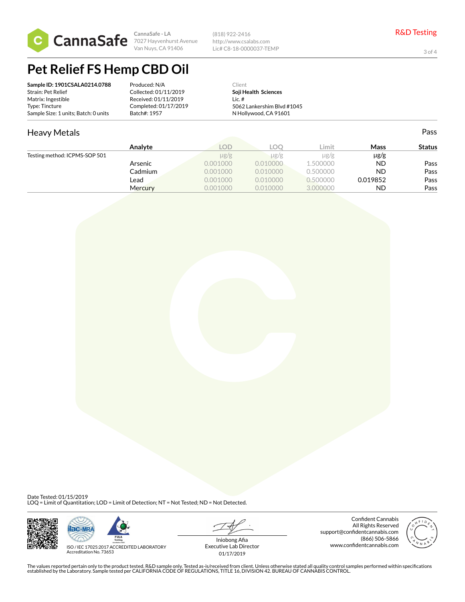

(818) 922-2416 http://www.csalabs.com Lic# C8-18-0000037-TEMP

3 of 4

## **Pet Relief FS Hemp CBD Oil**

| Sample ID: 1901CSALA0214.0788        | Produced: N/A         | Client                     |
|--------------------------------------|-----------------------|----------------------------|
| Strain: Pet Relief                   | Collected: 01/11/2019 | Soji Health Sciences       |
| Matrix: Ingestible                   | Received: 01/11/2019  | $l$ ic $#$                 |
| Type: Tincture                       | Completed: 01/17/2019 | 5062 Lankershim Blvd #1045 |
| Sample Size: 1 units; Batch: 0 units | Batch#: 1957          | N Hollywood, CA 91601      |

#### Heavy Metals Testing method: ICPMS-SOP 501 Pass **Analyte LOD LOQ Limit Mass Status**  $\mu$ g/g  $\mu$ g/g  $\mu$ g/g  $\mu$ g/g  $\mu$ g/g Arsenic 6.0001000 0.010000 1.500000 ND Pass Cadmium 0.001000 0.010000 0.500000 ND Pass **Lead 6.001000 0.010000 0.500000 0.500000 0.019852 Mercury 19 0.001000 0.010000 0.000000 0.00000 ND Pass**

Date Tested: 01/15/2019 LOQ = Limit of Quantitation; LOD = Limit of Detection; NT = Not Tested; ND = Not Detected.





ISO / IEC 17025:2017 ACCREDITED LABORATORY Accreditation No. 73653

Iniobong Afia Executive Lab Director 01/17/2019

Confident Cannabis All Rights Reserved support@confidentcannabis.com (866) 506-5866 www.confidentcannabis.com